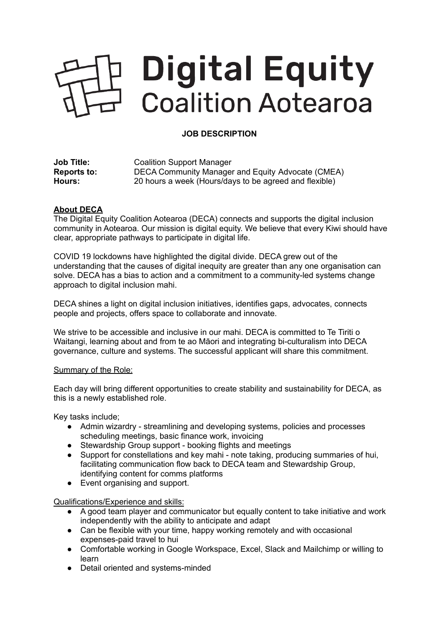## **Digital Equity** Coalition Aotearoa

## **JOB DESCRIPTION**

| <b>Job Title:</b>  | <b>Coalition Support Manager</b>                       |
|--------------------|--------------------------------------------------------|
| <b>Reports to:</b> | DECA Community Manager and Equity Advocate (CMEA)      |
| Hours:             | 20 hours a week (Hours/days to be agreed and flexible) |

## **About DECA**

The Digital Equity Coalition Aotearoa (DECA) connects and supports the digital inclusion community in Aotearoa. Our mission is digital equity. We believe that every Kiwi should have clear, appropriate pathways to participate in digital life.

COVID 19 lockdowns have highlighted the digital divide. DECA grew out of the understanding that the causes of digital inequity are greater than any one organisation can solve. DECA has a bias to action and a commitment to a community-led systems change approach to digital inclusion mahi.

DECA shines a light on digital inclusion initiatives, identifies gaps, advocates, connects people and projects, offers space to collaborate and innovate.

We strive to be accessible and inclusive in our mahi. DECA is committed to Te Tiriti o Waitangi, learning about and from te ao Māori and integrating bi-culturalism into DECA governance, culture and systems. The successful applicant will share this commitment.

## Summary of the Role:

Each day will bring different opportunities to create stability and sustainability for DECA, as this is a newly established role.

Key tasks include;

- Admin wizardry streamlining and developing systems, policies and processes scheduling meetings, basic finance work, invoicing
- Stewardship Group support booking flights and meetings
- Support for constellations and key mahi note taking, producing summaries of hui, facilitating communication flow back to DECA team and Stewardship Group, identifying content for comms platforms
- Event organising and support.

Qualifications/Experience and skills:

- A good team player and communicator but equally content to take initiative and work independently with the ability to anticipate and adapt
- Can be flexible with your time, happy working remotely and with occasional expenses-paid travel to hui
- Comfortable working in Google Workspace, Excel, Slack and Mailchimp or willing to learn
- Detail oriented and systems-minded